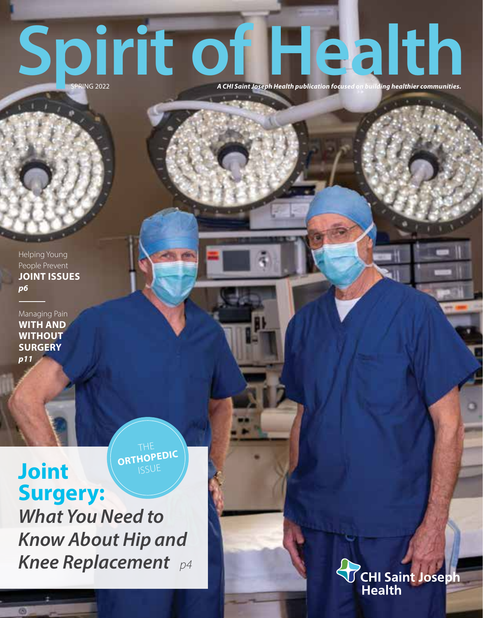# Spirit of Of Health Direction focused on building healthier communities.

Helping Young People Prevent **JOINT ISSUES** *p6*

Managing Pain **WITH AND WITHOUT SURGERY** *p11*

**Joint**

**ORTHOPEDIC**  ISSUE

**Surgery:** *What You Need to Know About Hip and Knee Replacement p4*

CHI Saint Joseph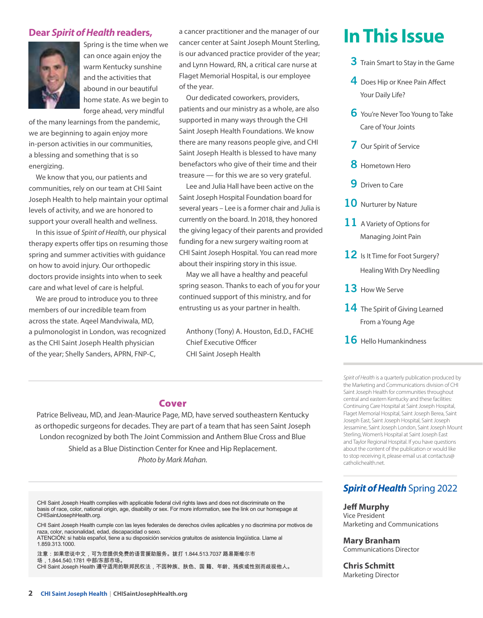#### **Dear** *Spirit of Health* **readers,**



Spring is the time when we can once again enjoy the warm Kentucky sunshine and the activities that abound in our beautiful home state. As we begin to forge ahead, very mindful

of the many learnings from the pandemic, we are beginning to again enjoy more in-person activities in our communities, a blessing and something that is so energizing.

We know that you, our patients and communities, rely on our team at CHI Saint Joseph Health to help maintain your optimal levels of activity, and we are honored to support your overall health and wellness.

In this issue of *Spirit of Health*, our physical therapy experts offer tips on resuming those spring and summer activities with guidance on how to avoid injury. Our orthopedic doctors provide insights into when to seek care and what level of care is helpful.

We are proud to introduce you to three members of our incredible team from across the state. Aqeel Mandviwala, MD, a pulmonologist in London, was recognized as the CHI Saint Joseph Health physician of the year; Shelly Sanders, APRN, FNP-C,

a cancer practitioner and the manager of our cancer center at Saint Joseph Mount Sterling, is our advanced practice provider of the year; and Lynn Howard, RN, a critical care nurse at Flaget Memorial Hospital, is our employee of the year.

Our dedicated coworkers, providers, patients and our ministry as a whole, are also supported in many ways through the CHI Saint Joseph Health Foundations. We know there are many reasons people give, and CHI Saint Joseph Health is blessed to have many benefactors who give of their time and their treasure — for this we are so very grateful.

Lee and Julia Hall have been active on the Saint Joseph Hospital Foundation board for several years – Lee is a former chair and Julia is currently on the board. In 2018, they honored the giving legacy of their parents and provided funding for a new surgery waiting room at CHI Saint Joseph Hospital. You can read more about their inspiring story in this issue.

May we all have a healthy and peaceful spring season. Thanks to each of you for your continued support of this ministry, and for entrusting us as your partner in health.

Anthony (Tony) A. Houston, Ed.D., FACHE Chief Executive Officer CHI Saint Joseph Health

#### **In This Issue**

- **3** Train Smart to Stay in the Game
- 4 Does Hip or Knee Pain Affect Your Daily Life?
- **6** You're Never Too Young to Take Care of Your Joints
- 7 Our Spirit of Service
- 8 Hometown Hero
- **9** Driven to Care
- 10 Nurturer by Nature
- $11$  A Variety of Options for Managing Joint Pain
- 12 Is It Time for Foot Surgery? Healing With Dry Needling
- 13 How We Serve
- 14 The Spirit of Giving Learned From a Young Age
- 16 Hello Humankindness

*Spirit of Health* is a quarterly publication produced by the Marketing and Communications division of CHI Saint Joseph Health for communities throughout central and eastern Kentucky and these facilities: Continuing Care Hospital at Saint Joseph Hospital, Flaget Memorial Hospital, Saint Joseph Berea, Saint Joseph East, Saint Joseph Hospital, Saint Joseph Jessamine, Saint Joseph London, Saint Joseph Mount Sterling, Women's Hospital at Saint Joseph East and Taylor Regional Hospital. If you have questions about the content of the publication or would like to stop receiving it, please email us at contactus@ catholichealth.net.

#### *Spirit of Health* Spring 2022

**Jeff Murphy** Vice President Marketing and Communications

**Mary Branham** Communications Director

**Chris Schmitt** Marketing Director

#### Cover

Patrice Beliveau, MD, and Jean-Maurice Page, MD, have served southeastern Kentucky as orthopedic surgeons for decades. They are part of a team that has seen Saint Joseph London recognized by both The Joint Commission and Anthem Blue Cross and Blue Shield as a Blue Distinction Center for Knee and Hip Replacement. *Photo by Mark Mahan.*

CHI Saint Joseph Health complies with applicable federal civil rights laws and does not discriminate on the basis of race, color, national origin, age, disability or sex. For more information, see the link on our homepage at CHISaintJosephHealth.org.

CHI Saint Joseph Health cumple con las leyes federales de derechos civiles aplicables y no discrimina por motivos de raza, color, nacionalidad, edad, discapacidad o sexo. ATENCIÓN: si habla español, tiene a su disposición servicios gratuitos de asistencia lingüística. Llame al

1.859.313.1000.

注意:如果您说中文,可为您提供免费的语言援助服务。拨打 1.844.513.7037 路易斯维尔市 场,1.844.540.1781 中部/东部市场。 CHI Saint Joseph Health 遵守适用的联邦民权法,不因种族、肤色、国 籍、年龄、残疾或性别而歧视他人。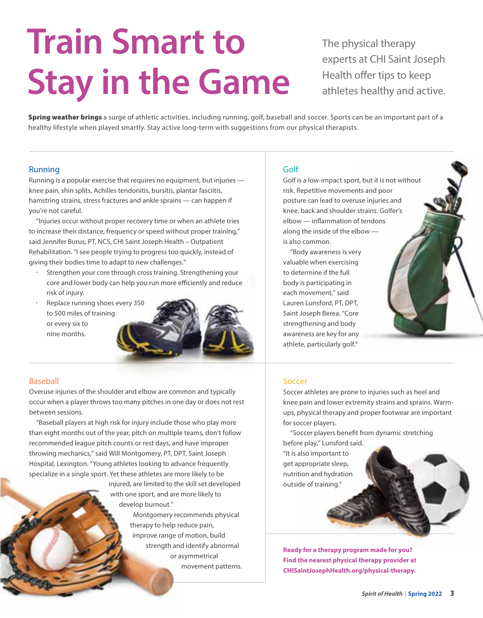### **Train Smart to Stay in the Game**

The physical therapy experts at CHI Saint Joseph Health offer tips to keep athletes healthy and active.

Spring weather brings a surge of athletic activities, including running, golf, baseball and soccer. Sports can be an important part of a healthy lifestyle when played smartly. Stay active long-term with suggestions from our physical therapists.

#### Running

Running is a popular exercise that requires no equipment, but injuries knee pain, shin splits, Achilles tendonitis, bursitis, plantar fasciitis, hamstring strains, stress fractures and ankle sprains — can happen if you're not careful.

"Injuries occur without proper recovery time or when an athlete tries to increase their distance, frequency or speed without proper training," said Jennifer Burus, PT, NCS, CHI Saint Joseph Health – Outpatient Rehabilitation. "I see people trying to progress too quickly, instead of giving their bodies time to adapt to new challenges."

- Strengthen your core through cross training. Strengthening your core and lower body can help you run more efficiently and reduce risk of injury.
- Replace running shoes every 350 to 500 miles of training or every six to nine months.



#### Baseball

Overuse injuries of the shoulder and elbow are common and typically occur when a player throws too many pitches in one day or does not rest between sessions.

"Baseball players at high risk for injury include those who play more than eight months out of the year, pitch on multiple teams, don't follow recommended league pitch counts or rest days, and have improper throwing mechanics," said Will Montgomery, PT, DPT, Saint Joseph Hospital, Lexington. "Young athletes looking to advance frequently specialize in a single sport. Yet these athletes are more likely to be

> injured, are limited to the skill set developed with one sport, and are more likely to develop burnout."

> > Montgomery recommends physical therapy to help reduce pain, improve range of motion, build strength and identify abnormal or asymmetrical movement patterns.

#### Golf

Golf is a low-impact sport, but it is not without risk. Repetitive movements and poor posture can lead to overuse injuries and knee, back and shoulder strains. Golfer's elbow — inflammation of tendons along the inside of the elbow is also common.

"Body awareness is very valuable when exercising to determine if the full body is participating in each movement," said Lauren Lunsford, PT, DPT, Saint Joseph Berea. "Core strengthening and body awareness are key for any athlete, particularly golf."

#### Soccer

Soccer athletes are prone to injuries such as heel and knee pain and lower extremity strains and sprains. Warmups, physical therapy and proper footwear are important for soccer players.

"Soccer players benefit from dynamic stretching before play," Lunsford said. "It is also important to

get appropriate sleep, nutrition and hydration outside of training."

**Ready for a therapy program made for you? Find the nearest physical therapy provider at CHISaintJosephHealth.org/physical-therapy.**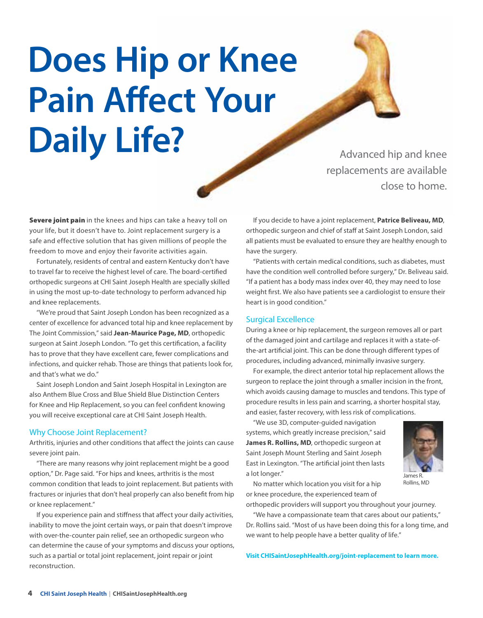### **Does Hip or Knee Pain Affect Your Daily Life?**

Advanced hip and knee replacements are available close to home.

Severe joint pain in the knees and hips can take a heavy toll on your life, but it doesn't have to. Joint replacement surgery is a safe and effective solution that has given millions of people the freedom to move and enjoy their favorite activities again.

Fortunately, residents of central and eastern Kentucky don't have to travel far to receive the highest level of care. The board-certified orthopedic surgeons at CHI Saint Joseph Health are specially skilled in using the most up-to-date technology to perform advanced hip and knee replacements.

"We're proud that Saint Joseph London has been recognized as a center of excellence for advanced total hip and knee replacement by The Joint Commission," said **Jean-Maurice Page, MD**, orthopedic surgeon at Saint Joseph London. "To get this certification, a facility has to prove that they have excellent care, fewer complications and infections, and quicker rehab. Those are things that patients look for, and that's what we do."

Saint Joseph London and Saint Joseph Hospital in Lexington are also Anthem Blue Cross and Blue Shield Blue Distinction Centers for Knee and Hip Replacement, so you can feel confident knowing you will receive exceptional care at CHI Saint Joseph Health.

#### Why Choose Joint Replacement?

Arthritis, injuries and other conditions that affect the joints can cause severe joint pain.

"There are many reasons why joint replacement might be a good option," Dr. Page said. "For hips and knees, arthritis is the most common condition that leads to joint replacement. But patients with fractures or injuries that don't heal properly can also benefit from hip or knee replacement."

If you experience pain and stiffness that affect your daily activities, inability to move the joint certain ways, or pain that doesn't improve with over-the-counter pain relief, see an orthopedic surgeon who can determine the cause of your symptoms and discuss your options, such as a partial or total joint replacement, joint repair or joint reconstruction.

If you decide to have a joint replacement, **Patrice Beliveau, MD**, orthopedic surgeon and chief of staff at Saint Joseph London, said all patients must be evaluated to ensure they are healthy enough to have the surgery.

"Patients with certain medical conditions, such as diabetes, must have the condition well controlled before surgery," Dr. Beliveau said. "If a patient has a body mass index over 40, they may need to lose weight first. We also have patients see a cardiologist to ensure their heart is in good condition."

#### Surgical Excellence

During a knee or hip replacement, the surgeon removes all or part of the damaged joint and cartilage and replaces it with a state-ofthe-art artificial joint. This can be done through different types of procedures, including advanced, minimally invasive surgery.

For example, the direct anterior total hip replacement allows the surgeon to replace the joint through a smaller incision in the front, which avoids causing damage to muscles and tendons. This type of procedure results in less pain and scarring, a shorter hospital stay, and easier, faster recovery, with less risk of complications.

"We use 3D, computer-guided navigation systems, which greatly increase precision," said James R. Rollins, MD, orthopedic surgeon at Saint Joseph Mount Sterling and Saint Joseph East in Lexington. "The artificial joint then lasts a lot longer."



James R. Rollins, MD

No matter which location you visit for a hip or knee procedure, the experienced team of

orthopedic providers will support you throughout your journey.

"We have a compassionate team that cares about our patients," Dr. Rollins said. "Most of us have been doing this for a long time, and we want to help people have a better quality of life."

**Visit CHISaintJosephHealth.org/joint-replacement to learn more.**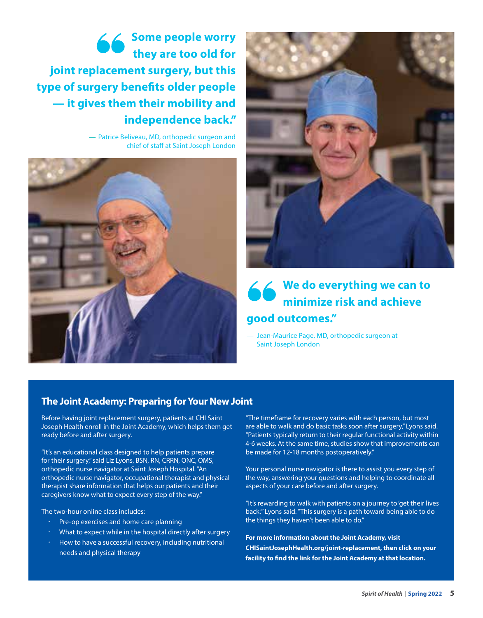**Some people worry they are too old for joint replacement surgery, but this type of surgery benefits older people — it gives them their mobility and independence back."**

> — Patrice Beliveau, MD, orthopedic surgeon and chief of staff at Saint Joseph London





#### **We do everything we can to minimize risk and achieve good outcomes."**

— Jean-Maurice Page, MD, orthopedic surgeon at Saint Joseph London

#### **The Joint Academy: Preparing for Your New Joint**

Before having joint replacement surgery, patients at CHI Saint Joseph Health enroll in the Joint Academy, which helps them get ready before and after surgery.

"It's an educational class designed to help patients prepare for their surgery," said Liz Lyons, BSN, RN, CRRN, ONC, OMS, orthopedic nurse navigator at Saint Joseph Hospital. "An orthopedic nurse navigator, occupational therapist and physical therapist share information that helps our patients and their caregivers know what to expect every step of the way."

The two-hour online class includes:

- Pre-op exercises and home care planning
- What to expect while in the hospital directly after surgery
- How to have a successful recovery, including nutritional needs and physical therapy

"The timeframe for recovery varies with each person, but most are able to walk and do basic tasks soon after surgery," Lyons said. "Patients typically return to their regular functional activity within 4-6 weeks. At the same time, studies show that improvements can be made for 12-18 months postoperatively."

Your personal nurse navigator is there to assist you every step of the way, answering your questions and helping to coordinate all aspects of your care before and after surgery.

"It's rewarding to walk with patients on a journey to 'get their lives back,'" Lyons said. "This surgery is a path toward being able to do the things they haven't been able to do."

**For more information about the Joint Academy, visit CHISaintJosephHealth.org/joint-replacement, then click on your facility to find the link for the Joint Academy at that location.**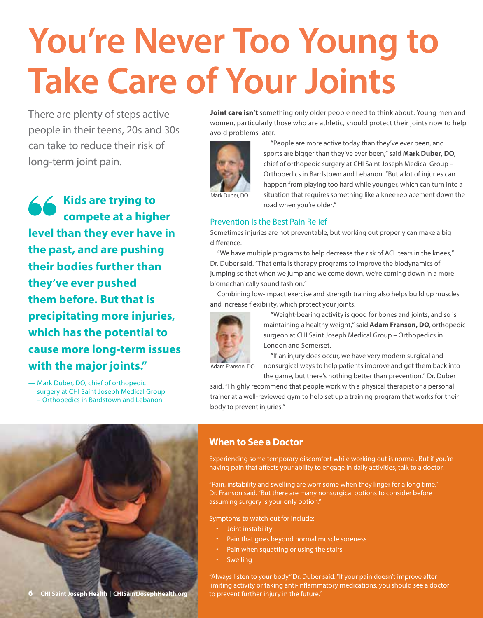### **You're Never Too Young to Take Care of Your Joints**

There are plenty of steps active people in their teens, 20s and 30s can take to reduce their risk of long-term joint pain.

**Kids are trying to compete at a higher level than they ever have in the past, and are pushing their bodies further than they've ever pushed them before. But that is precipitating more injuries, which has the potential to cause more long-term issues with the major joints."**

— Mark Duber, DO, chief of orthopedic surgery at CHI Saint Joseph Medical Group – Orthopedics in Bardstown and Lebanon

Joint care isn't something only older people need to think about. Young men and women, particularly those who are athletic, should protect their joints now to help avoid problems later.



Mark Duber, DO

"People are more active today than they've ever been, and sports are bigger than they've ever been," said **Mark Duber, DO**, chief of orthopedic surgery at CHI Saint Joseph Medical Group – Orthopedics in Bardstown and Lebanon. "But a lot of injuries can happen from playing too hard while younger, which can turn into a situation that requires something like a knee replacement down the road when you're older."

#### Prevention Is the Best Pain Relief

Sometimes injuries are not preventable, but working out properly can make a big difference.

"We have multiple programs to help decrease the risk of ACL tears in the knees," Dr. Duber said. "That entails therapy programs to improve the biodynamics of jumping so that when we jump and we come down, we're coming down in a more biomechanically sound fashion."

Combining low-impact exercise and strength training also helps build up muscles and increase flexibility, which protect your joints.



"Weight-bearing activity is good for bones and joints, and so is maintaining a healthy weight," said **Adam Franson, DO**, orthopedic surgeon at CHI Saint Joseph Medical Group – Orthopedics in London and Somerset.

"If an injury does occur, we have very modern surgical and nonsurgical ways to help patients improve and get them back into the game, but there's nothing better than prevention," Dr. Duber

said. "I highly recommend that people work with a physical therapist or a personal trainer at a well-reviewed gym to help set up a training program that works for their body to prevent injuries."



#### **When to See a Doctor**

Experiencing some temporary discomfort while working out is normal. But if you're having pain that affects your ability to engage in daily activities, talk to a doctor.

"Pain, instability and swelling are worrisome when they linger for a long time," Dr. Franson said. "But there are many nonsurgical options to consider before assuming surgery is your only option."

Symptoms to watch out for include:

- Joint instability
- Pain that goes beyond normal muscle soreness
- $\cdot$  Pain when squatting or using the stairs
- **Swelling**

"Always listen to your body," Dr. Duber said. "If your pain doesn't improve after limiting activity or taking anti-inflammatory medications, you should see a doctor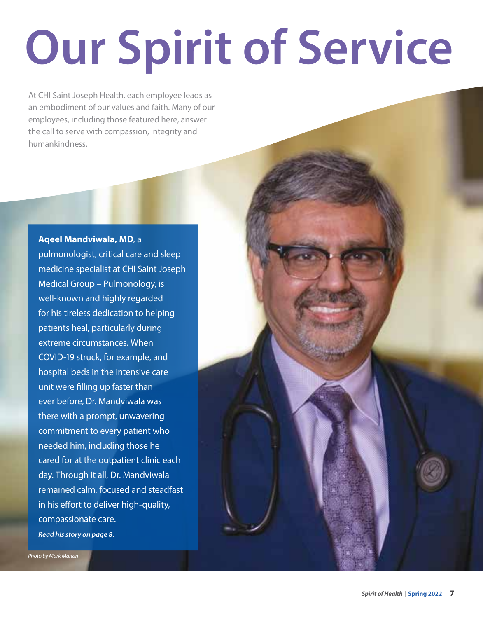# **Our Spirit of Service**

At CHI Saint Joseph Health, each employee leads as an embodiment of our values and faith. Many of our employees, including those featured here, answer the call to serve with compassion, integrity and humankindness.

**Aqeel Mandviwala, MD**, a pulmonologist, critical care and sleep medicine specialist at CHI Saint Joseph Medical Group – Pulmonology, is well-known and highly regarded for his tireless dedication to helping patients heal, particularly during extreme circumstances. When COVID-19 struck, for example, and hospital beds in the intensive care unit were filling up faster than ever before, Dr. Mandviwala was there with a prompt, unwavering commitment to every patient who needed him, including those he cared for at the outpatient clinic each day. Through it all, Dr. Mandviwala remained calm, focused and steadfast in his effort to deliver high-quality, compassionate care. *Read his story on page 8.*

*Photo by Mark Mahan*

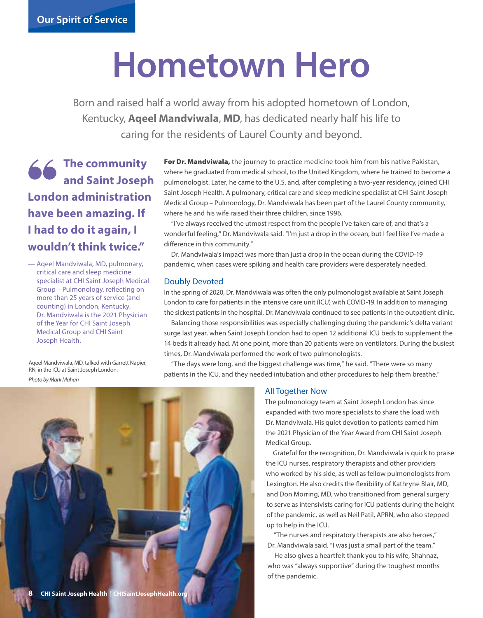### **Hometown Hero**

Born and raised half a world away from his adopted hometown of London, Kentucky, **Aqeel Mandviwala**, **MD**, has dedicated nearly half his life to caring for the residents of Laurel County and beyond.

#### **The community and Saint Joseph London administration have been amazing. If I had to do it again, I wouldn't think twice."**

— Aqeel Mandviwala, MD, pulmonary, critical care and sleep medicine specialist at CHI Saint Joseph Medical Group – Pulmonology, reflecting on more than 25 years of service (and counting) in London, Kentucky. Dr. Mandviwala is the 2021 Physician of the Year for CHI Saint Joseph Medical Group and CHI Saint Joseph Health.

Aqeel Mandviwala, MD, talked with Garrett Napier, RN, in the ICU at Saint Joseph London.

*Photo by Mark Mahan*

For Dr. Mandviwala, the journey to practice medicine took him from his native Pakistan, where he graduated from medical school, to the United Kingdom, where he trained to become a pulmonologist. Later, he came to the U.S. and, after completing a two-year residency, joined CHI Saint Joseph Health. A pulmonary, critical care and sleep medicine specialist at CHI Saint Joseph Medical Group – Pulmonology, Dr. Mandviwala has been part of the Laurel County community, where he and his wife raised their three children, since 1996.

"I've always received the utmost respect from the people I've taken care of, and that's a wonderful feeling," Dr. Mandviwala said. "I'm just a drop in the ocean, but I feel like I've made a difference in this community."

Dr. Mandviwala's impact was more than just a drop in the ocean during the COVID-19 pandemic, when cases were spiking and health care providers were desperately needed.

#### Doubly Devoted

In the spring of 2020, Dr. Mandviwala was often the only pulmonologist available at Saint Joseph London to care for patients in the intensive care unit (ICU) with COVID-19. In addition to managing the sickest patients in the hospital, Dr. Mandviwala continued to see patients in the outpatient clinic.

Balancing those responsibilities was especially challenging during the pandemic's delta variant surge last year, when Saint Joseph London had to open 12 additional ICU beds to supplement the 14 beds it already had. At one point, more than 20 patients were on ventilators. During the busiest times, Dr. Mandviwala performed the work of two pulmonologists.

"The days were long, and the biggest challenge was time," he said. "There were so many patients in the ICU, and they needed intubation and other procedures to help them breathe."



#### All Together Now

The pulmonology team at Saint Joseph London has since expanded with two more specialists to share the load with Dr. Mandviwala. His quiet devotion to patients earned him the 2021 Physician of the Year Award from CHI Saint Joseph Medical Group.

Grateful for the recognition, Dr. Mandviwala is quick to praise the ICU nurses, respiratory therapists and other providers who worked by his side, as well as fellow pulmonologists from Lexington. He also credits the flexibility of Kathryne Blair, MD, and Don Morring, MD, who transitioned from general surgery to serve as intensivists caring for ICU patients during the height of the pandemic, as well as Neil Patil, APRN, who also stepped up to help in the ICU.

"The nurses and respiratory therapists are also heroes," Dr. Mandviwala said. "I was just a small part of the team."

He also gives a heartfelt thank you to his wife, Shahnaz, who was "always supportive" during the toughest months of the pandemic.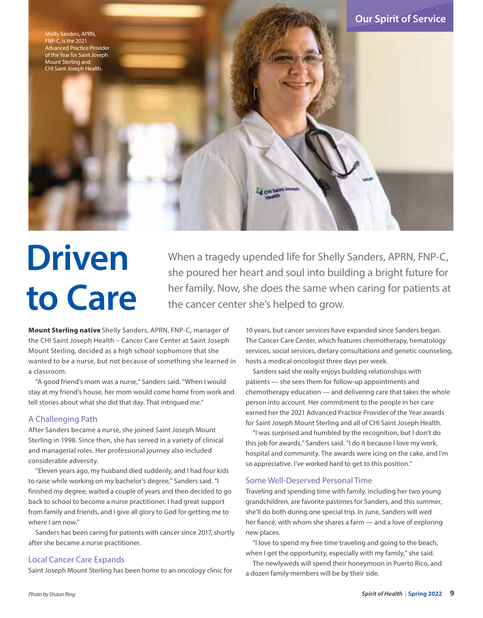

### **Driven to Care**

When a tragedy upended life for Shelly Sanders, APRN, FNP-C, she poured her heart and soul into building a bright future for her family. Now, she does the same when caring for patients at the cancer center she's helped to grow.

Mount Sterling native Shelly Sanders, APRN, FNP-C, manager of the CHI Saint Joseph Health – Cancer Care Center at Saint Joseph Mount Sterling, decided as a high school sophomore that she wanted to be a nurse, but not because of something she learned in a classroom.

"A good friend's mom was a nurse," Sanders said. "When I would stay at my friend's house, her mom would come home from work and tell stories about what she did that day. That intrigued me."

#### A Challenging Path

After Sanders became a nurse, she joined Saint Joseph Mount Sterling in 1998. Since then, she has served in a variety of clinical and managerial roles. Her professional journey also included considerable adversity.

"Eleven years ago, my husband died suddenly, and I had four kids to raise while working on my bachelor's degree," Sanders said. "I finished my degree, waited a couple of years and then decided to go back to school to become a nurse practitioner. I had great support from family and friends, and I give all glory to God for getting me to where I am now."

Sanders has been caring for patients with cancer since 2017, shortly after she became a nurse practitioner.

#### Local Cancer Care Expands

Saint Joseph Mount Sterling has been home to an oncology clinic for

10 years, but cancer services have expanded since Sanders began. The Cancer Care Center, which features chemotherapy, hematology services, social services, dietary consultations and genetic counseling, hosts a medical oncologist three days per week.

Sanders said she really enjoys building relationships with patients — she sees them for follow-up appointments and chemotherapy education — and delivering care that takes the whole person into account. Her commitment to the people in her care earned her the 2021 Advanced Practice Provider of the Year awards for Saint Joseph Mount Sterling and all of CHI Saint Joseph Health.

"I was surprised and humbled by the recognition, but I don't do this job for awards," Sanders said. "I do it because I love my work, hospital and community. The awards were icing on the cake, and I'm so appreciative. I've worked hard to get to this position."

#### Some Well-Deserved Personal Time

Traveling and spending time with family, including her two young grandchildren, are favorite pastimes for Sanders, and this summer, she'll do both during one special trip. In June, Sanders will wed her fiancé, with whom she shares a farm — and a love of exploring new places.

"I love to spend my free time traveling and going to the beach, when I get the opportunity, especially with my family," she said.

The newlyweds will spend their honeymoon in Puerto Rico, and a dozen family members will be by their side.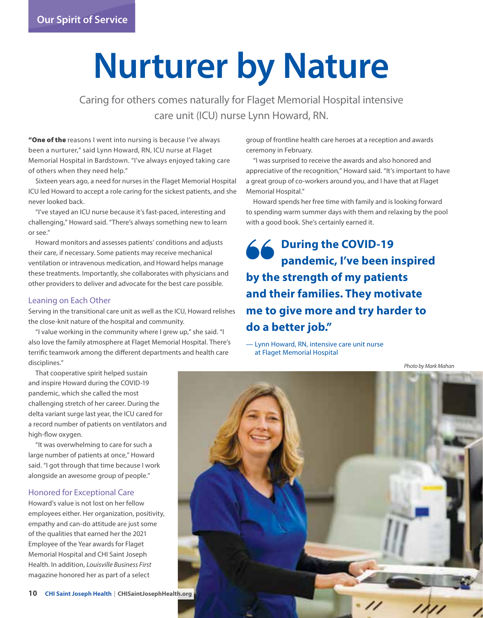### **Nurturer by Nature**

Caring for others comes naturally for Flaget Memorial Hospital intensive care unit (ICU) nurse Lynn Howard, RN.

"One of the reasons I went into nursing is because I've always been a nurturer," said Lynn Howard, RN, ICU nurse at Flaget Memorial Hospital in Bardstown. "I've always enjoyed taking care of others when they need help."

Sixteen years ago, a need for nurses in the Flaget Memorial Hospital ICU led Howard to accept a role caring for the sickest patients, and she never looked back.

"I've stayed an ICU nurse because it's fast-paced, interesting and challenging," Howard said. "There's always something new to learn or see."

Howard monitors and assesses patients' conditions and adjusts their care, if necessary. Some patients may receive mechanical ventilation or intravenous medication, and Howard helps manage these treatments. Importantly, she collaborates with physicians and other providers to deliver and advocate for the best care possible.

#### Leaning on Each Other

Serving in the transitional care unit as well as the ICU, Howard relishes the close-knit nature of the hospital and community.

"I value working in the community where I grew up," she said. "I also love the family atmosphere at Flaget Memorial Hospital. There's terrific teamwork among the different departments and health care disciplines."

That cooperative spirit helped sustain and inspire Howard during the COVID-19 pandemic, which she called the most challenging stretch of her career. During the delta variant surge last year, the ICU cared for a record number of patients on ventilators and high-flow oxygen.

"It was overwhelming to care for such a large number of patients at once," Howard said. "I got through that time because I work alongside an awesome group of people."

#### Honored for Exceptional Care

Howard's value is not lost on her fellow employees either. Her organization, positivity, empathy and can-do attitude are just some of the qualities that earned her the 2021 Employee of the Year awards for Flaget Memorial Hospital and CHI Saint Joseph Health. In addition, *Louisville Business First* magazine honored her as part of a select

group of frontline health care heroes at a reception and awards ceremony in February.

"I was surprised to receive the awards and also honored and appreciative of the recognition," Howard said. "It's important to have a great group of co-workers around you, and I have that at Flaget Memorial Hospital."

Howard spends her free time with family and is looking forward to spending warm summer days with them and relaxing by the pool with a good book. She's certainly earned it.

**During the COVID-19 pandemic, I've been inspired by the strength of my patients and their families. They motivate me to give more and try harder to do a better job."**

— Lynn Howard, RN, intensive care unit nurse at Flaget Memorial Hospital

*Photo by Mark Mahan*

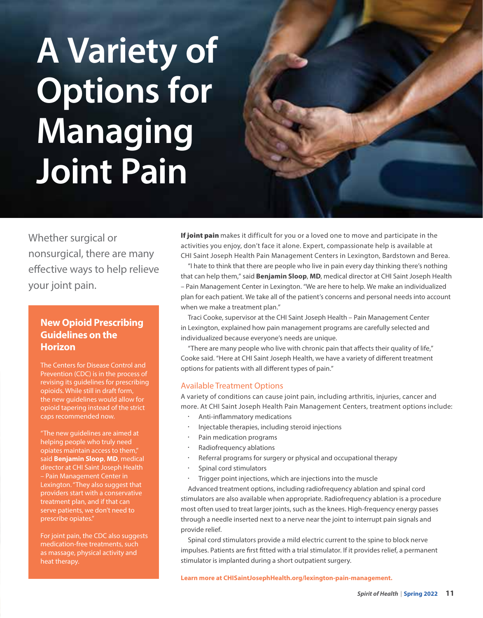### **A Variety of Options for Managing Joint Pain**

Whether surgical or nonsurgical, there are many effective ways to help relieve your joint pain.

#### **New Opioid Prescribing Guidelines on the Horizon**

The Centers for Disease Control and Prevention (CDC) is in the process of revising its guidelines for prescribing opioids. While still in draft form, the new guidelines would allow for opioid tapering instead of the strict caps recommended now.

"The new guidelines are aimed at helping people who truly need opiates maintain access to them," said **Benjamin Sloop**, **MD**, medical director at CHI Saint Joseph Health – Pain Management Center in Lexington. "They also suggest that providers start with a conservative treatment plan, and if that can serve patients, we don't need to prescribe opiates."

For joint pain, the CDC also suggests medication-free treatments, such as massage, physical activity and heat therapy.

If joint pain makes it difficult for you or a loved one to move and participate in the activities you enjoy, don't face it alone. Expert, compassionate help is available at CHI Saint Joseph Health Pain Management Centers in Lexington, Bardstown and Berea.

"I hate to think that there are people who live in pain every day thinking there's nothing that can help them," said **Benjamin Sloop**, **MD**, medical director at CHI Saint Joseph Health – Pain Management Center in Lexington. "We are here to help. We make an individualized plan for each patient. We take all of the patient's concerns and personal needs into account when we make a treatment plan."

Traci Cooke, supervisor at the CHI Saint Joseph Health – Pain Management Center in Lexington, explained how pain management programs are carefully selected and individualized because everyone's needs are unique.

"There are many people who live with chronic pain that affects their quality of life," Cooke said. "Here at CHI Saint Joseph Health, we have a variety of different treatment options for patients with all different types of pain."

#### Available Treatment Options

A variety of conditions can cause joint pain, including arthritis, injuries, cancer and more. At CHI Saint Joseph Health Pain Management Centers, treatment options include:

- Anti-inflammatory medications
- Injectable therapies, including steroid injections
- Pain medication programs
- Radiofrequency ablations
- Referral programs for surgery or physical and occupational therapy
- Spinal cord stimulators
- Trigger point injections, which are injections into the muscle

Advanced treatment options, including radiofrequency ablation and spinal cord stimulators are also available when appropriate. Radiofrequency ablation is a procedure most often used to treat larger joints, such as the knees. High-frequency energy passes through a needle inserted next to a nerve near the joint to interrupt pain signals and provide relief.

Spinal cord stimulators provide a mild electric current to the spine to block nerve impulses. Patients are first fitted with a trial stimulator. If it provides relief, a permanent stimulator is implanted during a short outpatient surgery.

**Learn more at CHISaintJosephHealth.org/lexington-pain-management.**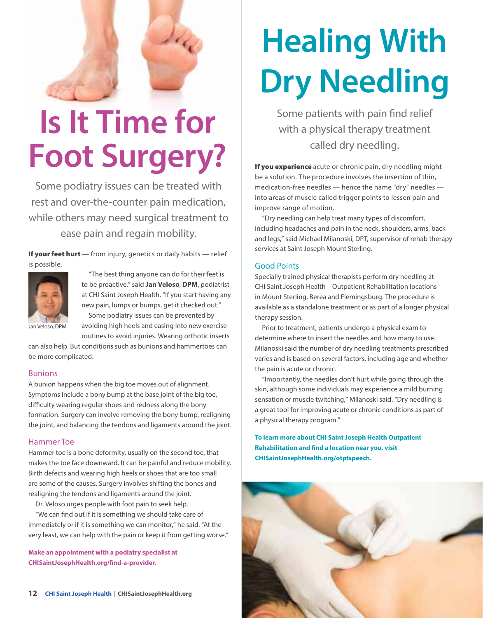### **Is It Time for Foot Surgery?**

Some podiatry issues can be treated with rest and over-the-counter pain medication, while others may need surgical treatment to ease pain and regain mobility.

If your feet hurt - from injury, genetics or daily habits - relief is possible.



"The best thing anyone can do for their feet is to be proactive," said **Jan Veloso**, **DPM**, podiatrist at CHI Saint Joseph Health. "If you start having any new pain, lumps or bumps, get it checked out." Some podiatry issues can be prevented by avoiding high heels and easing into new exercise routines to avoid injuries. Wearing orthotic inserts

Jan Veloso, DPM

can also help. But conditions such as bunions and hammertoes can be more complicated.

#### Bunions

A bunion happens when the big toe moves out of alignment. Symptoms include a bony bump at the base joint of the big toe, difficulty wearing regular shoes and redness along the bony formation. Surgery can involve removing the bony bump, realigning the joint, and balancing the tendons and ligaments around the joint.

#### Hammer Toe

Hammer toe is a bone deformity, usually on the second toe, that makes the toe face downward. It can be painful and reduce mobility. Birth defects and wearing high heels or shoes that are too small are some of the causes. Surgery involves shifting the bones and realigning the tendons and ligaments around the joint.

Dr. Veloso urges people with foot pain to seek help.

"We can find out if it is something we should take care of immediately or if it is something we can monitor," he said. "At the very least, we can help with the pain or keep it from getting worse."

**Make an appointment with a podiatry specialist at CHISaintJosephHealth.org/find-a-provider.**

### **Healing With Dry Needling**

Some patients with pain find relief with a physical therapy treatment called dry needling.

If you experience acute or chronic pain, dry needling might be a solution. The procedure involves the insertion of thin, medication-free needles — hence the name "dry" needles into areas of muscle called trigger points to lessen pain and improve range of motion.

"Dry needling can help treat many types of discomfort, including headaches and pain in the neck, shoulders, arms, back and legs," said Michael Milanoski, DPT, supervisor of rehab therapy services at Saint Joseph Mount Sterling.

#### Good Points

Specially trained physical therapists perform dry needling at CHI Saint Joseph Health – Outpatient Rehabilitation locations in Mount Sterling, Berea and Flemingsburg. The procedure is available as a standalone treatment or as part of a longer physical therapy session.

Prior to treatment, patients undergo a physical exam to determine where to insert the needles and how many to use. Milanoski said the number of dry needling treatments prescribed varies and is based on several factors, including age and whether the pain is acute or chronic.

"Importantly, the needles don't hurt while going through the skin, although some individuals may experience a mild burning sensation or muscle twitching," Milanoski said. "Dry needling is a great tool for improving acute or chronic conditions as part of a physical therapy program."

**To learn more about CHI Saint Joseph Health Outpatient Rehabilitation and find a location near you, visit CHISaintJosephHealth.org/otptspeech.**

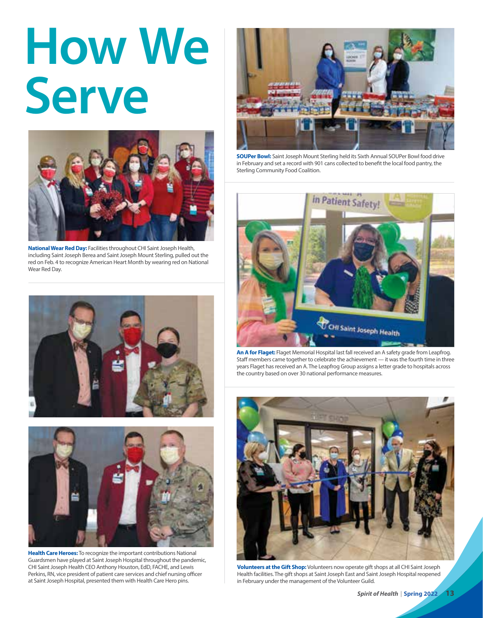## **How We Serve**



**National Wear Red Day:** Facilities throughout CHI Saint Joseph Health, including Saint Joseph Berea and Saint Joseph Mount Sterling, pulled out the red on Feb. 4 to recognize American Heart Month by wearing red on National Wear Red Day.





**Health Care Heroes:** To recognize the important contributions National Guardsmen have played at Saint Joseph Hospital throughout the pandemic, CHI Saint Joseph Health CEO Anthony Houston, EdD, FACHE, and Lewis Perkins, RN, vice president of patient care services and chief nursing officer at Saint Joseph Hospital, presented them with Health Care Hero pins.



**SOUPer Bowl:** Saint Joseph Mount Sterling held its Sixth Annual SOUPer Bowl food drive in February and set a record with 901 cans collected to benefit the local food pantry, the Sterling Community Food Coalition.



**An A for Flaget:** Flaget Memorial Hospital last fall received an A safety grade from Leapfrog. Staff members came together to celebrate the achievement — it was the fourth time in three years Flaget has received an A. The Leapfrog Group assigns a letter grade to hospitals across the country based on over 30 national performance measures.



**Volunteers at the Gift Shop:** Volunteers now operate gift shops at all CHI Saint Joseph Health facilities. The gift shops at Saint Joseph East and Saint Joseph Hospital reopened in February under the management of the Volunteer Guild.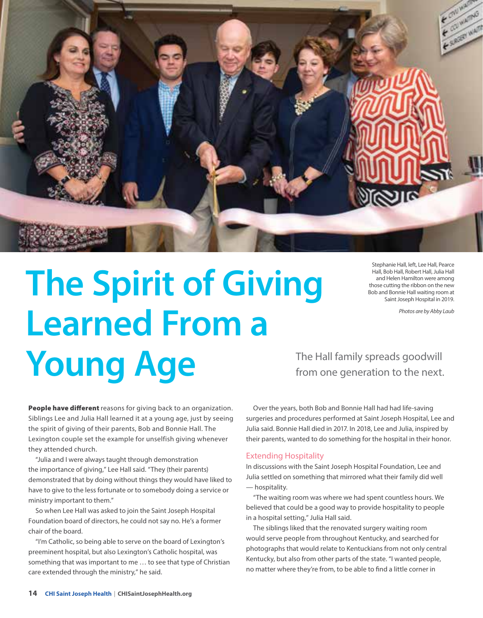

### **The Spirit of Giving Learned From a Young Age** The Hall family spreads goodwill<br>from one generation to the next. from one generation to the next.

Stephanie Hall, left, Lee Hall, Pearce Hall, Bob Hall, Robert Hall, Julia Hall and Helen Hamilton were among those cutting the ribbon on the new Bob and Bonnie Hall waiting room at Saint Joseph Hospital in 2019.

*Photos are by Abby Laub*

Over the years, both Bob and Bonnie Hall had had life-saving surgeries and procedures performed at Saint Joseph Hospital, Lee and Julia said. Bonnie Hall died in 2017. In 2018, Lee and Julia, inspired by their parents, wanted to do something for the hospital in their honor.

#### Extending Hospitality

In discussions with the Saint Joseph Hospital Foundation, Lee and Julia settled on something that mirrored what their family did well — hospitality.

"The waiting room was where we had spent countless hours. We believed that could be a good way to provide hospitality to people in a hospital setting," Julia Hall said.

The siblings liked that the renovated surgery waiting room would serve people from throughout Kentucky, and searched for photographs that would relate to Kentuckians from not only central Kentucky, but also from other parts of the state. "I wanted people, no matter where they're from, to be able to find a little corner in

People have different reasons for giving back to an organization. Siblings Lee and Julia Hall learned it at a young age, just by seeing the spirit of giving of their parents, Bob and Bonnie Hall. The Lexington couple set the example for unselfish giving whenever they attended church.

"Julia and I were always taught through demonstration the importance of giving," Lee Hall said. "They (their parents) demonstrated that by doing without things they would have liked to have to give to the less fortunate or to somebody doing a service or ministry important to them."

So when Lee Hall was asked to join the Saint Joseph Hospital Foundation board of directors, he could not say no. He's a former chair of the board.

"I'm Catholic, so being able to serve on the board of Lexington's preeminent hospital, but also Lexington's Catholic hospital, was something that was important to me … to see that type of Christian care extended through the ministry," he said.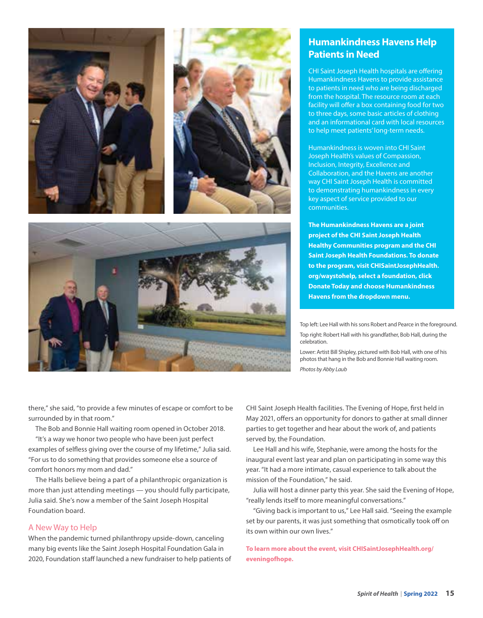





#### **Humankindness Havens Help Patients in Need**

CHI Saint Joseph Health hospitals are offering Humankindness Havens to provide assistance to patients in need who are being discharged from the hospital. The resource room at each facility will offer a box containing food for two to three days, some basic articles of clothing and an informational card with local resources to help meet patients' long-term needs.

Humankindness is woven into CHI Saint Joseph Health's values of Compassion, Inclusion, Integrity, Excellence and Collaboration, and the Havens are another way CHI Saint Joseph Health is committed to demonstrating humankindness in every key aspect of service provided to our communities.

**The Humankindness Havens are a joint project of the CHI Saint Joseph Health Healthy Communities program and the CHI Saint Joseph Health Foundations. To donate to the program, visit CHISaintJosephHealth. org/waystohelp, select a foundation, click Donate Today and choose Humankindness Havens from the dropdown menu.** 

Top left: Lee Hall with his sons Robert and Pearce in the foreground. Top right: Robert Hall with his grandfather, Bob Hall, during the celebration.

Lower: Artist Bill Shipley, pictured with Bob Hall, with one of his photos that hang in the Bob and Bonnie Hall waiting room. *Photos by Abby Laub*

there," she said, "to provide a few minutes of escape or comfort to be surrounded by in that room."

The Bob and Bonnie Hall waiting room opened in October 2018.

"It's a way we honor two people who have been just perfect examples of selfless giving over the course of my lifetime," Julia said. "For us to do something that provides someone else a source of comfort honors my mom and dad."

The Halls believe being a part of a philanthropic organization is more than just attending meetings — you should fully participate, Julia said. She's now a member of the Saint Joseph Hospital Foundation board.

#### A New Way to Help

When the pandemic turned philanthropy upside-down, canceling many big events like the Saint Joseph Hospital Foundation Gala in 2020, Foundation staff launched a new fundraiser to help patients of CHI Saint Joseph Health facilities. The Evening of Hope, first held in May 2021, offers an opportunity for donors to gather at small dinner parties to get together and hear about the work of, and patients served by, the Foundation.

Lee Hall and his wife, Stephanie, were among the hosts for the inaugural event last year and plan on participating in some way this year. "It had a more intimate, casual experience to talk about the mission of the Foundation," he said.

Julia will host a dinner party this year. She said the Evening of Hope, "really lends itself to more meaningful conversations."

"Giving back is important to us," Lee Hall said. "Seeing the example set by our parents, it was just something that osmotically took off on its own within our own lives."

**To learn more about the event, visit CHISaintJosephHealth.org/ eveningofhope.**